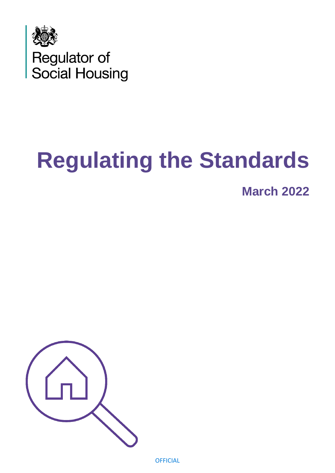

# **Regulating the Standards**

**March 2022**

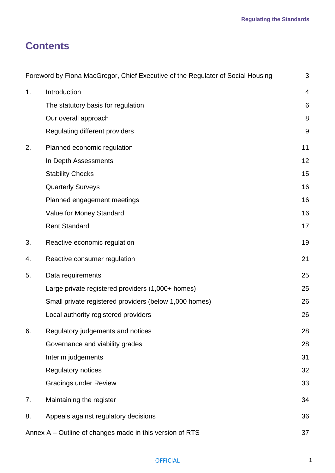# **Contents**

|                | Foreword by Fiona MacGregor, Chief Executive of the Regulator of Social Housing | 3               |
|----------------|---------------------------------------------------------------------------------|-----------------|
| 1 <sub>1</sub> | Introduction                                                                    | $\overline{4}$  |
|                | The statutory basis for regulation                                              | $6\phantom{1}6$ |
|                | Our overall approach                                                            | 8               |
|                | Regulating different providers                                                  | 9               |
| 2.             | Planned economic regulation                                                     | 11              |
|                | In Depth Assessments                                                            | 12              |
|                | <b>Stability Checks</b>                                                         | 15              |
|                | <b>Quarterly Surveys</b>                                                        | 16              |
|                | Planned engagement meetings                                                     | 16              |
|                | Value for Money Standard                                                        | 16              |
|                | <b>Rent Standard</b>                                                            | 17              |
| 3.             | Reactive economic regulation                                                    | 19              |
| 4.             | Reactive consumer regulation                                                    | 21              |
| 5.             | Data requirements                                                               | 25              |
|                | Large private registered providers (1,000+ homes)                               | 25              |
|                | Small private registered providers (below 1,000 homes)                          | 26              |
|                | Local authority registered providers                                            | 26              |
| 6.             | Regulatory judgements and notices                                               | 28              |
|                | Governance and viability grades                                                 | 28              |
|                | Interim judgements                                                              | 31              |
|                | <b>Regulatory notices</b>                                                       | 32              |
|                | <b>Gradings under Review</b>                                                    | 33              |
| 7.             | Maintaining the register                                                        | 34              |
| 8.             | Appeals against regulatory decisions                                            | 36              |
|                | Annex A - Outline of changes made in this version of RTS                        | 37              |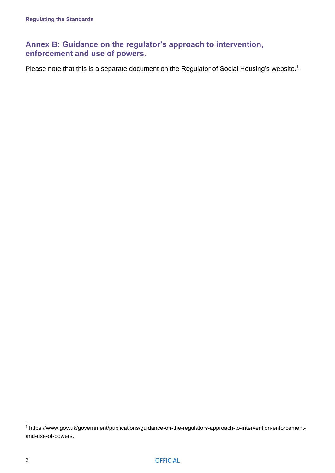# **Annex B: [Guidance on the regulator's approach to intervention,](https://www.gov.uk/government/publications/guidance-on-the-regulators-approach-to-intervention-enforcement-and-use-of-powers)  [enforcement and use of powers.](https://www.gov.uk/government/publications/guidance-on-the-regulators-approach-to-intervention-enforcement-and-use-of-powers)**

Please note that this is a separate document on the Regulator of Social Housing's website.<sup>1</sup>

<sup>1</sup> https://www.gov.uk/government/publications/guidance-on-the-regulators-approach-to-intervention-enforcementand-use-of-powers.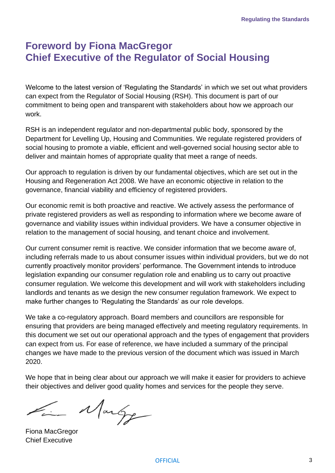# <span id="page-3-0"></span>**Foreword by Fiona MacGregor Chief Executive of the Regulator of Social Housing**

Welcome to the latest version of 'Regulating the Standards' in which we set out what providers can expect from the Regulator of Social Housing (RSH). This document is part of our commitment to being open and transparent with stakeholders about how we approach our work.

RSH is an independent regulator and non-departmental public body, sponsored by the Department for Levelling Up, Housing and Communities. We regulate registered providers of social housing to promote a viable, efficient and well-governed social housing sector able to deliver and maintain homes of appropriate quality that meet a range of needs.

Our approach to regulation is driven by our fundamental objectives, which are set out in the Housing and Regeneration Act 2008. We have an economic objective in relation to the governance, financial viability and efficiency of registered providers.

Our economic remit is both proactive and reactive. We actively assess the performance of private registered providers as well as responding to information where we become aware of governance and viability issues within individual providers. We have a consumer objective in relation to the management of social housing, and tenant choice and involvement.

Our current consumer remit is reactive. We consider information that we become aware of, including referrals made to us about consumer issues within individual providers, but we do not currently proactively monitor providers' performance. The Government intends to introduce legislation expanding our consumer regulation role and enabling us to carry out proactive consumer regulation. We welcome this development and will work with stakeholders including landlords and tenants as we design the new consumer regulation framework. We expect to make further changes to 'Regulating the Standards' as our role develops.

We take a co-regulatory approach. Board members and councillors are responsible for ensuring that providers are being managed effectively and meeting regulatory requirements. In this document we set out our operational approach and the types of engagement that providers can expect from us. For ease of reference, we have included a summary of the principal changes we have made to the previous version of the document which was issued in March 2020.

We hope that in being clear about our approach we will make it easier for providers to achieve their objectives and deliver good quality homes and services for the people they serve.

Margo

Fiona MacGregor Chief Executive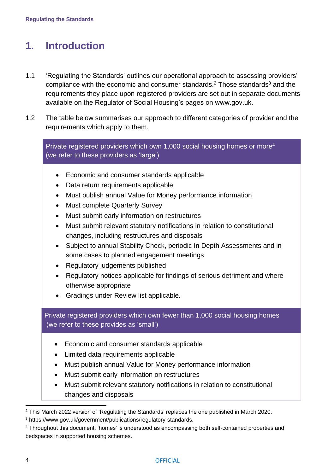# <span id="page-4-0"></span>**1. Introduction**

- 1.1 'Regulating the Standards' outlines our operational approach to assessing providers' compliance with the economic and consumer [standards](https://www.gov.uk/government/publications/regulatory-standards).<sup>2</sup> Those standards<sup>3</sup> and the requirements they place upon registered providers are set out in separate documents available on the Regulator of Social Housing's pages on www.gov.uk.
- 1.2 The table below summarises our approach to different categories of provider and the requirements which apply to them.

Private registered providers which own 1,000 social housing homes or more<sup>4</sup> (we refer to these providers as 'large')

- Economic and consumer standards applicable
- Data return requirements applicable
- Must publish annual Value for Money performance information
- Must complete Quarterly Survey
- Must submit early information on restructures
- Must submit relevant statutory notifications in relation to constitutional changes, including restructures and disposals
- Subject to annual Stability Check, periodic In Depth Assessments and in some cases to planned engagement meetings
- Regulatory judgements published
- Regulatory notices applicable for findings of serious detriment and where otherwise appropriate
- Gradings under Review list applicable.

Private registered providers which own fewer than 1,000 social housing homes (we refer to these provides as 'small')

- Economic and consumer standards applicable
- Limited data requirements applicable
- Must publish annual Value for Money performance information
- Must submit early information on restructures
- Must submit relevant statutory notifications in relation to constitutional changes and disposals

<sup>2</sup> This March 2022 version of 'Regulating the Standards' replaces the one published in March 2020.

<sup>3</sup> [https://www.gov.uk/government/publications/regulatory-standards.](https://www.gov.uk/government/publications/regulatory-standards)

<sup>4</sup> Throughout this document, 'homes' is understood as encompassing both self-contained properties and bedspaces in supported housing schemes.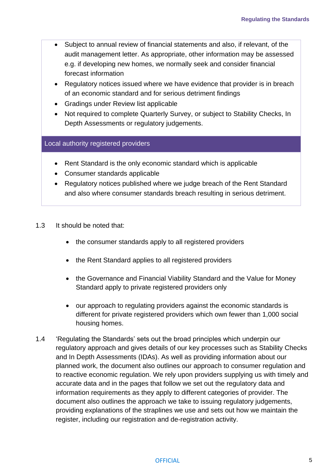- Subject to annual review of financial statements and also, if relevant, of the audit management letter. As appropriate, other information may be assessed e.g. if developing new homes, we normally seek and consider financial forecast information
- Regulatory notices issued where we have evidence that provider is in breach of an economic standard and for serious detriment findings
- Gradings under Review list applicable
- Not required to complete Quarterly Survey, or subject to Stability Checks, In Depth Assessments or regulatory judgements.

#### Local authority registered providers

- Rent Standard is the only economic standard which is applicable
- Consumer standards applicable
- Regulatory notices published where we judge breach of the Rent Standard and also where consumer standards breach resulting in serious detriment.
- 1.3 It should be noted that:
	- the consumer standards apply to all registered providers
	- the Rent Standard applies to all registered providers
	- the Governance and Financial Viability Standard and the Value for Money Standard apply to private registered providers only
	- our approach to regulating providers against the economic standards is different for private registered providers which own fewer than 1,000 social housing homes.
- <span id="page-5-0"></span>1.4 'Regulating the Standards' sets out the broad principles which underpin our regulatory approach and gives details of our key processes such as Stability Checks and In Depth Assessments (IDAs). As well as providing information about our planned work, the document also outlines our approach to consumer regulation and to reactive economic regulation. We rely upon providers supplying us with timely and accurate data and in the pages that follow we set out the regulatory data and information requirements as they apply to different categories of provider. The document also outlines the approach we take to issuing regulatory judgements, providing explanations of the straplines we use and sets out how we maintain the register, including our registration and de-registration activity.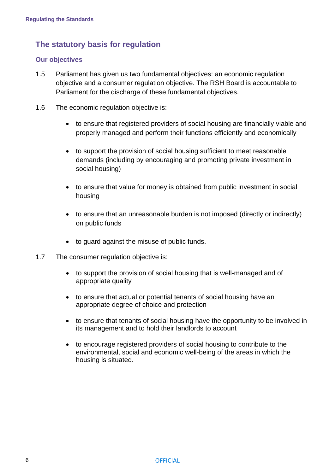# **The statutory basis for regulation**

#### **Our objectives**

- 1.5 Parliament has given us two fundamental objectives: an economic regulation objective and a consumer regulation objective. The RSH Board is accountable to Parliament for the discharge of these fundamental objectives.
- 1.6 The economic regulation objective is:
	- to ensure that registered providers of social housing are financially viable and properly managed and perform their functions efficiently and economically
	- to support the provision of social housing sufficient to meet reasonable demands (including by encouraging and promoting private investment in social housing)
	- to ensure that value for money is obtained from public investment in social housing
	- to ensure that an unreasonable burden is not imposed (directly or indirectly) on public funds
	- to guard against the misuse of public funds.
- 1.7 The consumer regulation objective is:
	- to support the provision of social housing that is well-managed and of appropriate quality
	- to ensure that actual or potential tenants of social housing have an appropriate degree of choice and protection
	- to ensure that tenants of social housing have the opportunity to be involved in its management and to hold their landlords to account
	- to encourage registered providers of social housing to contribute to the environmental, social and economic well-being of the areas in which the housing is situated.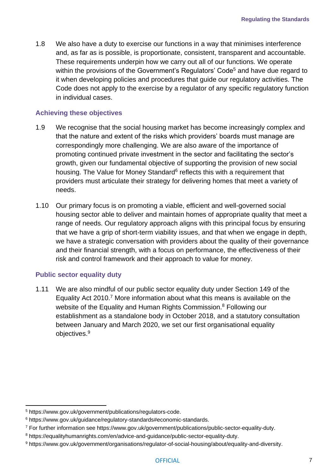1.8 We also have a duty to exercise our functions in a way that minimises interference and, as far as is possible, is proportionate, consistent, transparent and accountable. These requirements underpin how we carry out all of our functions. We operate within the provisions of the [Government's Regulators' Code](https://www.gov.uk/government/publications/regulators-code)<sup>5</sup> and have due regard to it when developing policies and procedures that guide our regulatory activities. The Code does not apply to the exercise by a regulator of any specific regulatory function in individual cases.

#### **Achieving these objectives**

- 1.9 We recognise that the social housing market has become increasingly complex and that the nature and extent of the risks which providers' boards must manage are correspondingly more challenging. We are also aware of the importance of promoting continued private investment in the sector and facilitating the sector's growth, given our fundamental objective of supporting the provision of new social housing. The [Value for Money Standard](https://www.gov.uk/guidance/regulatory-standards#economic-standards)<sup>6</sup> reflects this with a requirement that providers must articulate their strategy for delivering homes that meet a variety of needs.
- 1.10 Our primary focus is on promoting a viable, efficient and well-governed social housing sector able to deliver and maintain homes of appropriate quality that meet a range of needs. Our regulatory approach aligns with this principal focus by ensuring that we have a grip of short-term viability issues, and that when we engage in depth, we have a strategic conversation with providers about the quality of their governance and their financial strength, with a focus on performance, the effectiveness of their risk and control framework and their approach to value for money.

#### **Public sector equality duty**

1.11 We are also mindful of our public sector equality duty under Section 149 of the Equality Act 2010.<sup>7</sup> More information about what this means is available on the website of the Equality and Human Rights Commission.<sup>8</sup> Following our establishment as a standalone body in October 2018, and a statutory consultation between January and March 2020, we set our first organisational equality objectives.<sup>9</sup>

<sup>5</sup> [https://www.gov.uk/government/publications/regulators-code.](https://www.gov.uk/government/publications/regulators-code)

<sup>6</sup> https://www.gov.uk/guidance/regulatory-standards#economic-standards.

<sup>7</sup> For further information see https://www.gov.uk/government/publications/public-sector-equality-duty.

<sup>8</sup> https://equalityhumanrights.com/en/advice-and-guidance/public-sector-equality-duty.

<sup>9</sup> https://www.gov.uk/government/organisations/regulator-of-social-housing/about/equality-and-diversity.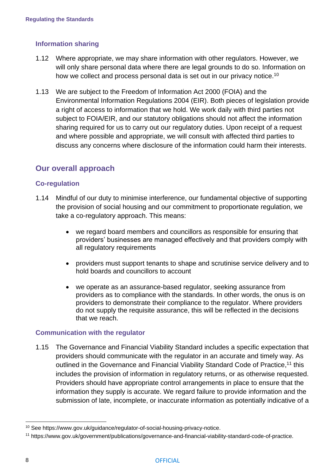#### **Information sharing**

- 1.12 Where appropriate, we may share information with other regulators. However, we will only share personal data where there are legal grounds to do so. Information on how we collect and process personal data is set out in our privacy notice.<sup>10</sup>
- 1.13 We are subject to the Freedom of Information Act 2000 (FOIA) and the Environmental Information Regulations 2004 (EIR). Both pieces of legislation provide a right of access to information that we hold. We work daily with third parties not subject to FOIA/EIR, and our statutory obligations should not affect the information sharing required for us to carry out our regulatory duties. Upon receipt of a request and where possible and appropriate, we will consult with affected third parties to discuss any concerns where disclosure of the information could harm their interests.

### <span id="page-8-0"></span>**Our overall approach**

#### **Co-regulation**

- 1.14 Mindful of our duty to minimise interference, our fundamental objective of supporting the provision of social housing and our commitment to proportionate regulation, we take a co-regulatory approach. This means:
	- we regard board members and councillors as responsible for ensuring that providers' businesses are managed effectively and that providers comply with all regulatory requirements
	- providers must support tenants to shape and scrutinise service delivery and to hold boards and councillors to account
	- we operate as an assurance-based regulator, seeking assurance from providers as to compliance with the standards. In other words, the onus is on providers to demonstrate their compliance to the regulator. Where providers do not supply the requisite assurance, this will be reflected in the decisions that we reach.

#### **Communication with the regulator**

1.15 The [Governance and Financial Viability Standard](https://www.gov.uk/government/publications/regulatory-standards) includes a specific expectation that providers should communicate with the regulator in an accurate and timely way. As outlined in the [Governance and Financial Viability Standard Code of Practice,](https://www.gov.uk/government/publications/governance-and-financial-viability-standard-code-of-practice)<sup>11</sup> this includes the provision of information in regulatory returns, or as otherwise requested. Providers should have appropriate control arrangements in place to ensure that the information they supply is accurate. We regard failure to provide information and the submission of late, incomplete, or inaccurate information as potentially indicative of a

<sup>&</sup>lt;sup>10</sup> See https://www.gov.uk/guidance/regulator-of-social-housing-privacy-notice.

<sup>11</sup> https://www.gov.uk/government/publications/governance-and-financial-viability-standard-code-of-practice.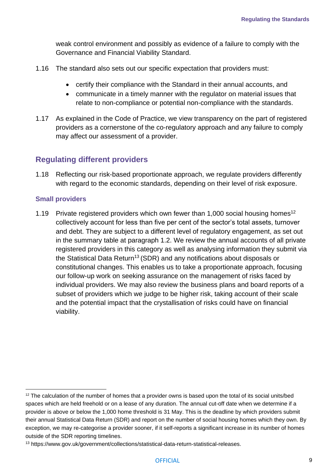weak control environment and possibly as evidence of a failure to comply with the Governance and Financial Viability Standard.

- 1.16 The standard also sets out our specific expectation that providers must:
	- certify their compliance with the Standard in their annual accounts, and
	- communicate in a timely manner with the regulator on material issues that relate to non-compliance or potential non-compliance with the standards.
- 1.17 As explained in the Code of Practice, we view transparency on the part of registered providers as a cornerstone of the co-regulatory approach and any failure to comply may affect our assessment of a provider.

### <span id="page-9-0"></span>**Regulating different providers**

1.18 Reflecting our risk-based proportionate approach, we regulate providers differently with regard to the economic standards, depending on their level of risk exposure.

#### **Small providers**

1.19 Private registered providers which own fewer than 1,000 social housing homes<sup>12</sup> collectively account for less than five per cent of the sector's total assets, turnover and debt. They are subject to a different level of regulatory engagement, as set out in the summary table at paragraph 1.2. We review the annual accounts of all private registered providers in this category as well as analysing information they submit via the [Statistical Data Return](https://www.gov.uk/government/collections/statistical-data-return-statistical-releases)<sup>13</sup> (SDR) and any notifications about disposals or constitutional changes. This enables us to take a proportionate approach, focusing our follow-up work on seeking assurance on the management of risks faced by individual providers. We may also review the business plans and board reports of a subset of providers which we judge to be higher risk, taking account of their scale and the potential impact that the crystallisation of risks could have on financial viability.

 $12$  The calculation of the number of homes that a provider owns is based upon the total of its social units/bed spaces which are held freehold or on a lease of any duration. The annual cut-off date when we determine if a provider is above or below the 1,000 home threshold is 31 May. This is the deadline by which providers submit their annual Statistical Data Return (SDR) and report on the number of social housing homes which they own. By exception, we may re-categorise a provider sooner, if it self-reports a significant increase in its number of homes outside of the SDR reporting timelines.

<sup>13</sup> https://www.gov.uk/government/collections/statistical-data-return-statistical-releases.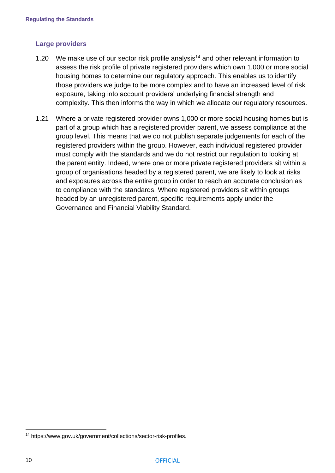#### **Large providers**

- 1.20 We make use of our [sector risk profile](https://www.gov.uk/government/collections/sector-risk-profiles) analysis<sup>14</sup> and other relevant information to assess the risk profile of private registered providers which own 1,000 or more social housing homes to determine our regulatory approach. This enables us to identify those providers we judge to be more complex and to have an increased level of risk exposure, taking into account providers' underlying financial strength and complexity. This then informs the way in which we allocate our regulatory resources.
- 1.21 Where a private registered provider owns 1,000 or more social housing homes but is part of a group which has a registered provider parent, we assess compliance at the group level. This means that we do not publish separate judgements for each of the registered providers within the group. However, each individual registered provider must comply with the standards and we do not restrict our regulation to looking at the parent entity. Indeed, where one or more private registered providers sit within a group of organisations headed by a registered parent, we are likely to look at risks and exposures across the entire group in order to reach an accurate conclusion as to compliance with the standards. Where registered providers sit within groups headed by an unregistered parent, specific requirements apply under the Governance and Financial Viability Standard.

<sup>14</sup> https://www.gov.uk/government/collections/sector-risk-profiles.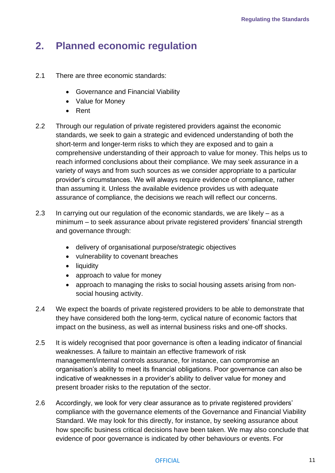# <span id="page-11-0"></span>**2. Planned economic regulation**

- 2.1 There are three economic standards:
	- Governance and Financial Viability
	- Value for Money
	- Rent
- 2.2 Through our regulation of private registered providers against the economic standards, we seek to gain a strategic and evidenced understanding of both the short-term and longer-term risks to which they are exposed and to gain a comprehensive understanding of their approach to value for money. This helps us to reach informed conclusions about their compliance. We may seek assurance in a variety of ways and from such sources as we consider appropriate to a particular provider's circumstances. We will always require evidence of compliance, rather than assuming it. Unless the available evidence provides us with adequate assurance of compliance, the decisions we reach will reflect our concerns.
- 2.3 In carrying out our regulation of the economic standards, we are likely as a minimum – to seek assurance about private registered providers' financial strength and governance through:
	- delivery of organisational purpose/strategic objectives
	- vulnerability to covenant breaches
	- liquidity
	- approach to value for money
	- approach to managing the risks to social housing assets arising from nonsocial housing activity.
- 2.4 We expect the boards of private registered providers to be able to demonstrate that they have considered both the long-term, cyclical nature of economic factors that impact on the business, as well as internal business risks and one-off shocks.
- 2.5 It is widely recognised that poor governance is often a leading indicator of financial weaknesses. A failure to maintain an effective framework of risk management/internal controls assurance, for instance, can compromise an organisation's ability to meet its financial obligations. Poor governance can also be indicative of weaknesses in a provider's ability to deliver value for money and present broader risks to the reputation of the sector.
- 2.6 Accordingly, we look for very clear assurance as to private registered providers' compliance with the governance elements of the Governance and Financial Viability Standard. We may look for this directly, for instance, by seeking assurance about how specific business critical decisions have been taken. We may also conclude that evidence of poor governance is indicated by other behaviours or events. For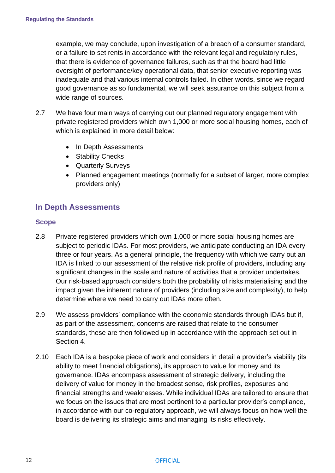example, we may conclude, upon investigation of a breach of a consumer standard, or a failure to set rents in accordance with the relevant legal and regulatory rules, that there is evidence of governance failures, such as that the board had little oversight of performance/key operational data, that senior executive reporting was inadequate and that various internal controls failed. In other words, since we regard good governance as so fundamental, we will seek assurance on this subject from a wide range of sources.

- 2.7 We have four main ways of carrying out our planned regulatory engagement with private registered providers which own 1,000 or more social housing homes, each of which is explained in more detail below:
	- In Depth Assessments
	- Stability Checks
	- Quarterly Surveys
	- Planned engagement meetings (normally for a subset of larger, more complex providers only)

### <span id="page-12-0"></span>**In Depth Assessments**

#### **Scope**

- 2.8 Private registered providers which own 1,000 or more social housing homes are subject to periodic IDAs. For most providers, we anticipate conducting an IDA every three or four years. As a general principle, the frequency with which we carry out an IDA is linked to our assessment of the relative risk profile of providers, including any significant changes in the scale and nature of activities that a provider undertakes. Our risk-based approach considers both the probability of risks materialising and the impact given the inherent nature of providers (including size and complexity), to help determine where we need to carry out IDAs more often.
- 2.9 We assess providers' compliance with the economic standards through IDAs but if, as part of the assessment, concerns are raised that relate to the consumer standards, these are then followed up in accordance with the approach set out in Section 4.
- 2.10 Each IDA is a bespoke piece of work and considers in detail a provider's viability (its ability to meet financial obligations), its approach to value for money and its governance. IDAs encompass assessment of strategic delivery, including the delivery of value for money in the broadest sense, risk profiles, exposures and financial strengths and weaknesses. While individual IDAs are tailored to ensure that we focus on the issues that are most pertinent to a particular provider's compliance, in accordance with our co-regulatory approach, we will always focus on how well the board is delivering its strategic aims and managing its risks effectively.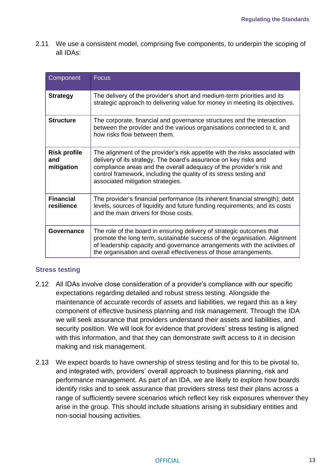2.11 We use a consistent model, comprising five components, to underpin the scoping of all IDAs:

| Component                                | <b>Focus</b>                                                                                                                                                                                                                                                                                                                        |
|------------------------------------------|-------------------------------------------------------------------------------------------------------------------------------------------------------------------------------------------------------------------------------------------------------------------------------------------------------------------------------------|
| <b>Strategy</b>                          | The delivery of the provider's short and medium-term priorities and its<br>strategic approach to delivering value for money in meeting its objectives.                                                                                                                                                                              |
| <b>Structure</b>                         | The corporate, financial and governance structures and the interaction<br>between the provider and the various organisations connected to it, and<br>how risks flow between them.                                                                                                                                                   |
| <b>Risk profile</b><br>and<br>mitigation | The alignment of the provider's risk appetite with the risks associated with<br>delivery of its strategy. The board's assurance on key risks and<br>compliance areas and the overall adequacy of the provider's risk and<br>control framework, including the quality of its stress testing and<br>associated mitigation strategies. |
| <b>Financial</b><br>resilience           | The provider's financial performance (its inherent financial strength); debt<br>levels, sources of liquidity and future funding requirements; and its costs<br>and the main drivers for those costs.                                                                                                                                |
| Governance                               | The role of the board in ensuring delivery of strategic outcomes that<br>promote the long term, sustainable success of the organisation. Alignment<br>of leadership capacity and governance arrangements with the activities of<br>the organisation and overall effectiveness of those arrangements.                                |

#### **Stress testing**

- 2.12 All IDAs involve close consideration of a provider's compliance with our specific expectations regarding detailed and robust stress testing. Alongside the maintenance of accurate records of assets and liabilities, we regard this as a key component of effective business planning and risk management. Through the IDA we will seek assurance that providers understand their assets and liabilities, and security position. We will look for evidence that providers' stress testing is aligned with this information, and that they can demonstrate swift access to it in decision making and risk management.
- 2.13 We expect boards to have ownership of stress testing and for this to be pivotal to, and integrated with, providers' overall approach to business planning, risk and performance management. As part of an IDA, we are likely to explore how boards identify risks and to seek assurance that providers stress test their plans across a range of sufficiently severe scenarios which reflect key risk exposures wherever they arise in the group. This should include situations arising in subsidiary entities and non-social housing activities.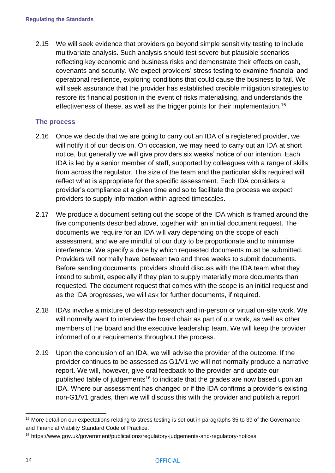2.15 We will seek evidence that providers go beyond simple sensitivity testing to include multivariate analysis. Such analysis should test severe but plausible scenarios reflecting key economic and business risks and demonstrate their effects on cash, covenants and security. We expect providers' stress testing to examine financial and operational resilience, exploring conditions that could cause the business to fail. We will seek assurance that the provider has established credible mitigation strategies to restore its financial position in the event of risks materialising, and understands the effectiveness of these, as well as the trigger points for their implementation.<sup>15</sup>

#### **The process**

- 2.16 Once we decide that we are going to carry out an IDA of a registered provider, we will notify it of our decision. On occasion, we may need to carry out an IDA at short notice, but generally we will give providers six weeks' notice of our intention. Each IDA is led by a senior member of staff, supported by colleagues with a range of skills from across the regulator. The size of the team and the particular skills required will reflect what is appropriate for the specific assessment. Each IDA considers a provider's compliance at a given time and so to facilitate the process we expect providers to supply information within agreed timescales.
- 2.17 We produce a document setting out the scope of the IDA which is framed around the five components described above, together with an initial document request. The documents we require for an IDA will vary depending on the scope of each assessment, and we are mindful of our duty to be proportionate and to minimise interference. We specify a date by which requested documents must be submitted. Providers will normally have between two and three weeks to submit documents. Before sending documents, providers should discuss with the IDA team what they intend to submit, especially if they plan to supply materially more documents than requested. The document request that comes with the scope is an initial request and as the IDA progresses, we will ask for further documents, if required.
- 2.18 IDAs involve a mixture of desktop research and in-person or virtual on-site work. We will normally want to interview the board chair as part of our work, as well as other members of the board and the executive leadership team. We will keep the provider informed of our requirements throughout the process.
- 2.19 Upon the conclusion of an IDA, we will advise the provider of the outcome. If the provider continues to be assessed as G1/V1 we will not normally produce a narrative report. We will, however, give oral feedback to the provider and update our published table of judgements<sup>16</sup> to indicate that the grades are now based upon an IDA. Where our assessment has changed or if the IDA confirms a provider's existing non-G1/V1 grades, then we will discuss this with the provider and publish a report

<sup>&</sup>lt;sup>15</sup> More detail on our expectations relating to stress testing is set out in paragraphs 35 to 39 of the Governance and Financial Viability Standard Code of Practice.

<sup>16</sup> https://www.gov.uk/government/publications/regulatory-judgements-and-regulatory-notices.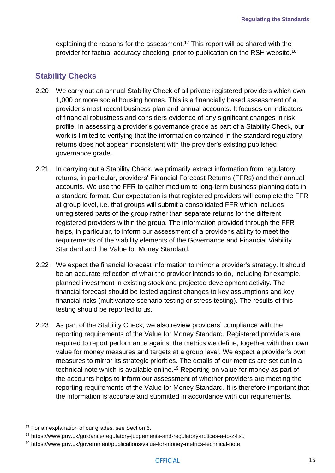explaining the reasons for the assessment.<sup>17</sup> This report will be shared with the provider for factual accuracy checking, prior to publication on the RSH website.<sup>18</sup>

# <span id="page-15-0"></span>**Stability Checks**

- 2.20 We carry out an annual Stability Check of all private registered providers which own 1,000 or more social housing homes. This is a financially based assessment of a provider's most recent business plan and annual accounts. It focuses on indicators of financial robustness and considers evidence of any significant changes in risk profile. In assessing a provider's governance grade as part of a Stability Check, our work is limited to verifying that the information contained in the standard regulatory returns does not appear inconsistent with the provider's existing published governance grade.
- 2.21 In carrying out a Stability Check, we primarily extract information from regulatory returns, in particular, providers' Financial Forecast Returns (FFRs) and their annual accounts. We use the FFR to gather medium to long-term business planning data in a standard format. Our expectation is that registered providers will complete the FFR at group level, i.e. that groups will submit a consolidated FFR which includes unregistered parts of the group rather than separate returns for the different registered providers within the group. The information provided through the FFR helps, in particular, to inform our assessment of a provider's ability to meet the requirements of the viability elements of the Governance and Financial Viability Standard and the Value for Money Standard.
- 2.22 We expect the financial forecast information to mirror a provider's strategy. It should be an accurate reflection of what the provider intends to do, including for example, planned investment in existing stock and projected development activity. The financial forecast should be tested against changes to key assumptions and key financial risks (multivariate scenario testing or stress testing). The results of this testing should be reported to us.
- 2.23 As part of the Stability Check, we also review providers' compliance with the reporting requirements of the Value for Money Standard. Registered providers are required to report performance against the metrics we define, together with their own value for money measures and targets at a group level. We expect a provider's own measures to mirror its strategic priorities. The details of our metrics are set out in a technical note which is available online.<sup>19</sup> Reporting on value for money as part of the accounts helps to inform our assessment of whether providers are meeting the reporting requirements of the Value for Money Standard. It is therefore important that the information is accurate and submitted in accordance with our requirements.

<sup>&</sup>lt;sup>17</sup> For an explanation of our grades, see Section 6.

<sup>18</sup> [https://www.gov.uk/guidance/regulatory-judgements-and-regulatory-notices-a-to-z-list.](https://www.gov.uk/guidance/regulatory-judgements-and-regulatory-notices-a-to-z-list)

<sup>19</sup> [https://www.gov.uk/government/publications/value-for-money-metrics-technical-note.](https://www.gov.uk/government/publications/value-for-money-metrics-technical-note)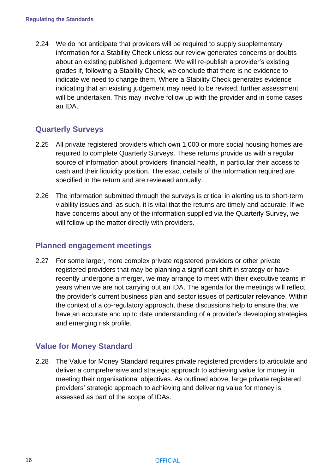2.24 We do not anticipate that providers will be required to supply supplementary information for a Stability Check unless our review generates concerns or doubts about an existing published judgement. We will re-publish a provider's existing grades if, following a Stability Check, we conclude that there is no evidence to indicate we need to change them. Where a Stability Check generates evidence indicating that an existing judgement may need to be revised, further assessment will be undertaken. This may involve follow up with the provider and in some cases an IDA.

# <span id="page-16-0"></span>**Quarterly Surveys**

- 2.25 All private registered providers which own 1,000 or more social housing homes are required to complete Quarterly Surveys. These returns provide us with a regular source of information about providers' financial health, in particular their access to cash and their liquidity position. The exact details of the information required are specified in the return and are reviewed annually.
- 2.26 The information submitted through the surveys is critical in alerting us to short-term viability issues and, as such, it is vital that the returns are timely and accurate. If we have concerns about any of the information supplied via the Quarterly Survey, we will follow up the matter directly with providers.

### <span id="page-16-1"></span>**Planned engagement meetings**

2.27 For some larger, more complex private registered providers or other private registered providers that may be planning a significant shift in strategy or have recently undergone a merger, we may arrange to meet with their executive teams in years when we are not carrying out an IDA. The agenda for the meetings will reflect the provider's current business plan and sector issues of particular relevance. Within the context of a co-regulatory approach, these discussions help to ensure that we have an accurate and up to date understanding of a provider's developing strategies and emerging risk profile.

# <span id="page-16-2"></span>**Value for Money Standard**

2.28 The Value for Money Standard requires private registered providers to articulate and deliver a comprehensive and strategic approach to achieving value for money in meeting their organisational objectives. As outlined above, large private registered providers' strategic approach to achieving and delivering value for money is assessed as part of the scope of IDAs.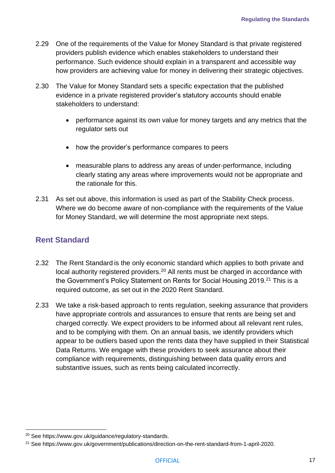- 2.29 One of the requirements of the Value for Money Standard is that private registered providers publish evidence which enables stakeholders to understand their performance. Such evidence should explain in a transparent and accessible way how providers are achieving value for money in delivering their strategic objectives.
- 2.30 The Value for Money Standard sets a specific expectation that the published evidence in a private registered provider's statutory accounts should enable stakeholders to understand:
	- performance against its own value for money targets and any metrics that the regulator sets out
	- how the provider's performance compares to peers
	- measurable plans to address any areas of under-performance, including clearly stating any areas where improvements would not be appropriate and the rationale for this.
- 2.31 As set out above, this information is used as part of the Stability Check process. Where we do become aware of non-compliance with the requirements of the Value for Money Standard, we will determine the most appropriate next steps.

### <span id="page-17-0"></span>**Rent Standard**

- 2.32 The Rent Standard is the only economic standard which applies to both private and local authority registered providers.<sup>20</sup> All rents must be charged in accordance with the Government's Policy Statement on Rents for Social Housing 2019.<sup>21</sup> This is a required outcome, as set out in the 2020 Rent Standard.
- 2.33 We take a risk-based approach to rents regulation, seeking assurance that providers have appropriate controls and assurances to ensure that rents are being set and charged correctly. We expect providers to be informed about all relevant rent rules, and to be complying with them. On an annual basis, we identify providers which appear to be outliers based upon the rents data they have supplied in their Statistical Data Returns. We engage with these providers to seek assurance about their compliance with requirements, distinguishing between data quality errors and substantive issues, such as rents being calculated incorrectly.

<sup>20</sup> See https://www.gov.uk/guidance/regulatory-standards.

<sup>&</sup>lt;sup>21</sup> See https://www.gov.uk/government/publications/direction-on-the-rent-standard-from-1-april-2020.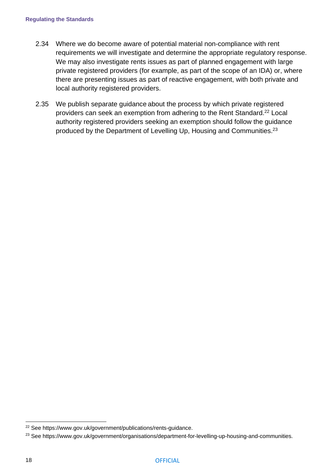- 2.34 Where we do become aware of potential material non-compliance with rent requirements we will investigate and determine the appropriate regulatory response. We may also investigate rents issues as part of planned engagement with large private registered providers (for example, as part of the scope of an IDA) or, where there are presenting issues as part of reactive engagement, with both private and local authority registered providers.
- 2.35 We publish [separate guidance](https://www.gov.uk/government/publications/rents-guidance) about the process by which private registered providers can seek an exemption from adhering to the Rent Standard.<sup>22</sup> Local authority registered providers seeking an exemption should follow the guidance produced by the Department of Levelling Up, Housing and Communities.<sup>23</sup>

<sup>22</sup> See https://www.gov.uk/government/publications/rents-guidance.

<sup>23</sup> See https://www.gov.uk/government/organisations/department-for-levelling-up-housing-and-communities.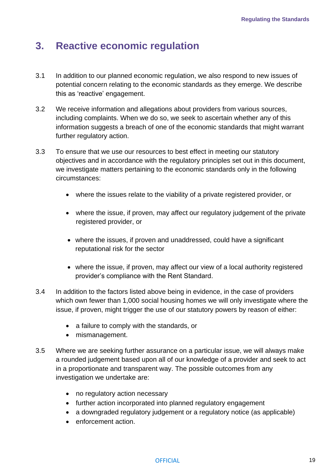# <span id="page-19-0"></span>**3. Reactive economic regulation**

- 3.1 In addition to our planned economic regulation, we also respond to new issues of potential concern relating to the economic standards as they emerge. We describe this as 'reactive' engagement.
- 3.2 We receive information and allegations about providers from various sources, including complaints. When we do so, we seek to ascertain whether any of this information suggests a breach of one of the economic standards that might warrant further regulatory action.
- 3.3 To ensure that we use our resources to best effect in meeting our statutory objectives and in accordance with the regulatory principles set out in this document, we investigate matters pertaining to the economic standards only in the following circumstances:
	- where the issues relate to the viability of a private registered provider, or
	- where the issue, if proven, may affect our regulatory judgement of the private registered provider, or
	- where the issues, if proven and unaddressed, could have a significant reputational risk for the sector
	- where the issue, if proven, may affect our view of a local authority registered provider's compliance with the Rent Standard.
- 3.4 In addition to the factors listed above being in evidence, in the case of providers which own fewer than 1,000 social housing homes we will only investigate where the issue, if proven, might trigger the use of our statutory powers by reason of either:
	- a failure to comply with the standards, or
	- mismanagement.
- 3.5 Where we are seeking further assurance on a particular issue, we will always make a rounded judgement based upon all of our knowledge of a provider and seek to act in a proportionate and transparent way. The possible outcomes from any investigation we undertake are:
	- no regulatory action necessary
	- further action incorporated into planned regulatory engagement
	- a downgraded regulatory judgement or a regulatory notice (as applicable)
	- enforcement action.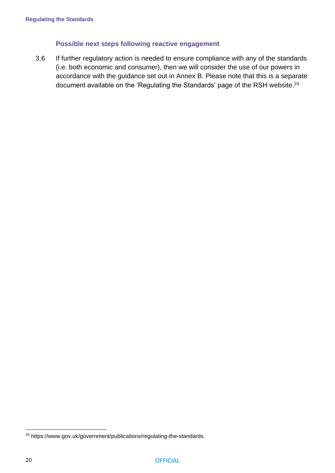#### **Possible next steps following reactive engagement**

3.6 If further regulatory action is needed to ensure compliance with any of the standards (i.e. both economic and consumer), then we will consider the use of our powers in accordance with the guidance set out in Annex B. Please note that this is a separate document available on the ['Regulating the Standards' page](https://www.gov.uk/government/publications/social-housing-regulation-regulating-the-standards) of the RSH website.<sup>24</sup>

<sup>24</sup> https://www.gov.uk/government/publications/regulating-the-standards.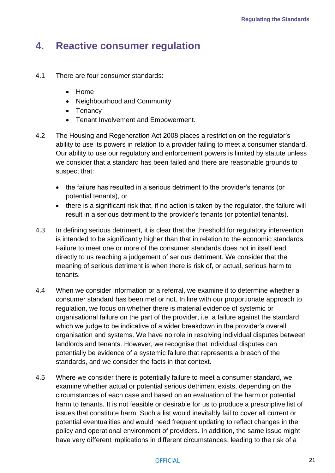# <span id="page-21-0"></span>**4. Reactive consumer regulation**

- 4.1 There are four consumer standards:
	- Home
	- Neighbourhood and Community
	- Tenancy
	- Tenant Involvement and Empowerment.
- 4.2 The Housing and Regeneration Act 2008 places a restriction on the regulator's ability to use its powers in relation to a provider failing to meet a consumer standard. Our ability to use our regulatory and enforcement powers is limited by statute unless we consider that a standard has been failed and there are reasonable grounds to suspect that:
	- the failure has resulted in a serious detriment to the provider's tenants (or potential tenants), or
	- there is a significant risk that, if no action is taken by the regulator, the failure will result in a serious detriment to the provider's tenants (or potential tenants).
- 4.3 In defining serious detriment, it is clear that the threshold for regulatory intervention is intended to be significantly higher than that in relation to the economic standards. Failure to meet one or more of the consumer standards does not in itself lead directly to us reaching a judgement of serious detriment. We consider that the meaning of serious detriment is when there is risk of, or actual, serious harm to tenants.
- 4.4 When we consider information or a referral, we examine it to determine whether a consumer standard has been met or not. In line with our proportionate approach to regulation, we focus on whether there is material evidence of systemic or organisational failure on the part of the provider, i.e. a failure against the standard which we judge to be indicative of a wider breakdown in the provider's overall organisation and systems. We have no role in resolving individual disputes between landlords and tenants. However, we recognise that individual disputes can potentially be evidence of a systemic failure that represents a breach of the standards, and we consider the facts in that context.
- 4.5 Where we consider there is potentially failure to meet a consumer standard, we examine whether actual or potential serious detriment exists, depending on the circumstances of each case and based on an evaluation of the harm or potential harm to tenants. It is not feasible or desirable for us to produce a prescriptive list of issues that constitute harm. Such a list would inevitably fail to cover all current or potential eventualities and would need frequent updating to reflect changes in the policy and operational environment of providers. In addition, the same issue might have very different implications in different circumstances, leading to the risk of a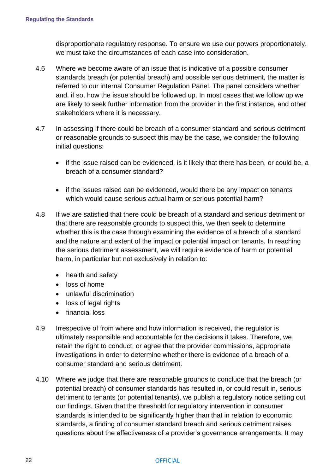disproportionate regulatory response. To ensure we use our powers proportionately, we must take the circumstances of each case into consideration.

- 4.6 Where we become aware of an issue that is indicative of a possible consumer standards breach (or potential breach) and possible serious detriment, the matter is referred to our internal Consumer Regulation Panel. The panel considers whether and, if so, how the issue should be followed up. In most cases that we follow up we are likely to seek further information from the provider in the first instance, and other stakeholders where it is necessary.
- 4.7 In assessing if there could be breach of a consumer standard and serious detriment or reasonable grounds to suspect this may be the case, we consider the following initial questions:
	- if the issue raised can be evidenced, is it likely that there has been, or could be, a breach of a consumer standard?
	- if the issues raised can be evidenced, would there be any impact on tenants which would cause serious actual harm or serious potential harm?
- 4.8 If we are satisfied that there could be breach of a standard and serious detriment or that there are reasonable grounds to suspect this, we then seek to determine whether this is the case through examining the evidence of a breach of a standard and the nature and extent of the impact or potential impact on tenants. In reaching the serious detriment assessment, we will require evidence of harm or potential harm, in particular but not exclusively in relation to:
	- health and safety
	- loss of home
	- unlawful discrimination
	- loss of legal rights
	- financial loss
- 4.9 Irrespective of from where and how information is received, the regulator is ultimately responsible and accountable for the decisions it takes. Therefore, we retain the right to conduct, or agree that the provider commissions, appropriate investigations in order to determine whether there is evidence of a breach of a consumer standard and serious detriment.
- 4.10 Where we judge that there are reasonable grounds to conclude that the breach (or potential breach) of consumer standards has resulted in, or could result in, serious detriment to tenants (or potential tenants), we publish a regulatory notice setting out our findings. Given that the threshold for regulatory intervention in consumer standards is intended to be significantly higher than that in relation to economic standards, a finding of consumer standard breach and serious detriment raises questions about the effectiveness of a provider's governance arrangements. It may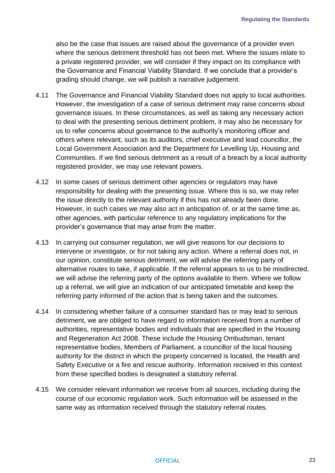also be the case that issues are raised about the governance of a provider even where the serious detriment threshold has not been met. Where the issues relate to a private registered provider, we will consider if they impact on its compliance with the Governance and Financial Viability Standard. If we conclude that a provider's grading should change, we will publish a narrative judgement.

- 4.11 The Governance and Financial Viability Standard does not apply to local authorities. However, the investigation of a case of serious detriment may raise concerns about governance issues. In these circumstances, as well as taking any necessary action to deal with the presenting serious detriment problem, it may also be necessary for us to refer concerns about governance to the authority's monitoring officer and others where relevant, such as its auditors, chief executive and lead councillor, the Local Government Association and the Department for Levelling Up, Housing and Communities. If we find serious detriment as a result of a breach by a local authority registered provider, we may use relevant powers.
- 4.12 In some cases of serious detriment other agencies or regulators may have responsibility for dealing with the presenting issue. Where this is so, we may refer the issue directly to the relevant authority if this has not already been done. However, in such cases we may also act in anticipation of, or at the same time as, other agencies, with particular reference to any regulatory implications for the provider's governance that may arise from the matter.
- 4.13 In carrying out consumer regulation, we will give reasons for our decisions to intervene or investigate, or for not taking any action. Where a referral does not, in our opinion, constitute serious detriment, we will advise the referring party of alternative routes to take, if applicable. If the referral appears to us to be misdirected, we will advise the referring party of the options available to them. Where we follow up a referral, we will give an indication of our anticipated timetable and keep the referring party informed of the action that is being taken and the outcomes.
- 4.14 In considering whether failure of a consumer standard has or may lead to serious detriment, we are obliged to have regard to information received from a number of authorities, representative bodies and individuals that are specified in the Housing and Regeneration Act 2008. These include the Housing Ombudsman, tenant representative bodies, Members of Parliament, a councillor of the local housing authority for the district in which the property concerned is located, the Health and Safety Executive or a fire and rescue authority. Information received in this context from these specified bodies is designated a statutory referral.
- 4.15 We consider relevant information we receive from all sources, including during the course of our economic regulation work. Such information will be assessed in the same way as information received through the statutory referral routes.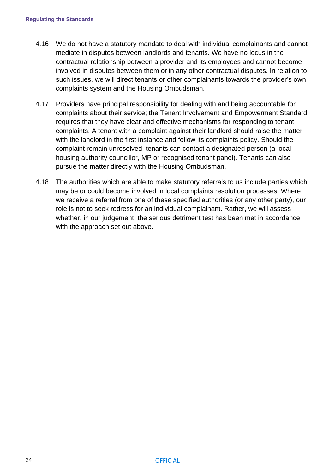- 4.16 We do not have a statutory mandate to deal with individual complainants and cannot mediate in disputes between landlords and tenants. We have no locus in the contractual relationship between a provider and its employees and cannot become involved in disputes between them or in any other contractual disputes. In relation to such issues, we will direct tenants or other complainants towards the provider's own complaints system and the Housing Ombudsman.
- 4.17 Providers have principal responsibility for dealing with and being accountable for complaints about their service; the Tenant Involvement and Empowerment Standard requires that they have clear and effective mechanisms for responding to tenant complaints. A tenant with a complaint against their landlord should raise the matter with the landlord in the first instance and follow its complaints policy. Should the complaint remain unresolved, tenants can contact a designated person (a local housing authority councillor, MP or recognised tenant panel). Tenants can also pursue the matter directly with the Housing Ombudsman.
- 4.18 The authorities which are able to make statutory referrals to us include parties which may be or could become involved in local complaints resolution processes. Where we receive a referral from one of these specified authorities (or any other party), our role is not to seek redress for an individual complainant. Rather, we will assess whether, in our judgement, the serious detriment test has been met in accordance with the approach set out above.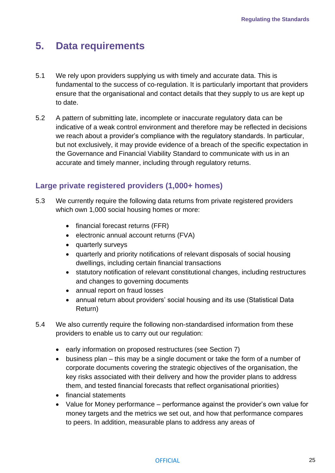# <span id="page-25-0"></span>**5. Data requirements**

- 5.1 We rely upon providers supplying us with timely and accurate data. This is fundamental to the success of co-regulation. It is particularly important that providers ensure that the organisational and contact details that they supply to us are kept up to date.
- 5.2 A pattern of submitting late, incomplete or inaccurate regulatory data can be indicative of a weak control environment and therefore may be reflected in decisions we reach about a provider's compliance with the regulatory standards. In particular, but not exclusively, it may provide evidence of a breach of the specific expectation in the Governance and Financial Viability Standard to communicate with us in an accurate and timely manner, including through regulatory returns.

### <span id="page-25-1"></span>**Large private registered providers (1,000+ homes)**

- 5.3 We currently require the following data returns from private registered providers which own 1,000 social housing homes or more:
	- financial forecast returns (FFR)
	- electronic annual account returns (FVA)
	- quarterly surveys
	- quarterly and priority notifications of relevant disposals of social housing dwellings, including certain financial transactions
	- statutory notification of relevant constitutional changes, including restructures and changes to governing documents
	- annual report on fraud losses
	- annual return about providers' social housing and its use (Statistical Data Return)
- 5.4 We also currently require the following non-standardised information from these providers to enable us to carry out our regulation:
	- early information on proposed restructures (see Section 7)
	- business plan this may be a single document or take the form of a number of corporate documents covering the strategic objectives of the organisation, the key risks associated with their delivery and how the provider plans to address them, and tested financial forecasts that reflect organisational priorities)
	- financial statements
	- Value for Money performance performance against the provider's own value for money targets and the metrics we set out, and how that performance compares to peers. In addition, measurable plans to address any areas of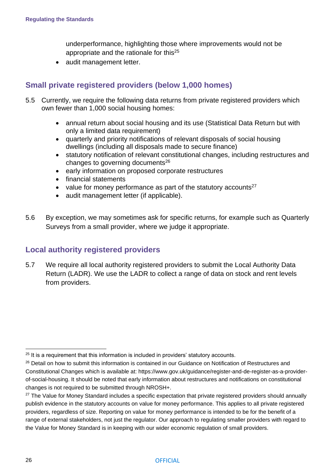underperformance, highlighting those where improvements would not be appropriate and the rationale for this<sup>25</sup>

• audit management letter.

# <span id="page-26-0"></span>**Small private registered providers (below 1,000 homes)**

- 5.5 Currently, we require the following data returns from private registered providers which own fewer than 1,000 social housing homes:
	- annual return about social housing and its use (Statistical Data Return but with only a limited data requirement)
	- quarterly and priority notifications of relevant disposals of social housing dwellings (including all disposals made to secure finance)
	- statutory notification of relevant constitutional changes, including restructures and changes to governing documents<sup>26</sup>
	- early information on proposed corporate restructures
	- financial statements
	- value for money performance as part of the statutory accounts<sup>27</sup>
	- audit management letter (if applicable).
- 5.6 By exception, we may sometimes ask for specific returns, for example such as Quarterly Surveys from a small provider, where we judge it appropriate.

### <span id="page-26-1"></span>**Local authority registered providers**

5.7 We require all local authority registered providers to submit the Local Authority Data Return (LADR). We use the LADR to collect a range of data on stock and rent levels from providers.

 $25$  It is a requirement that this information is included in providers' statutory accounts.

<sup>&</sup>lt;sup>26</sup> Detail on how to submit this information is contained in our Guidance on Notification of Restructures and Constitutional Changes which is available at: https://www.gov.uk/guidance/register-and-de-register-as-a-providerof-social-housing. It should be noted that early information about restructures and notifications on constitutional changes is not required to be submitted through NROSH+.

<sup>&</sup>lt;sup>27</sup> The Value for Money Standard includes a specific expectation that private registered providers should annually publish evidence in the statutory accounts on value for money performance. This applies to all private registered providers, regardless of size. Reporting on value for money performance is intended to be for the benefit of a range of external stakeholders, not just the regulator. Our approach to regulating smaller providers with regard to the Value for Money Standard is in keeping with our wider economic regulation of small providers.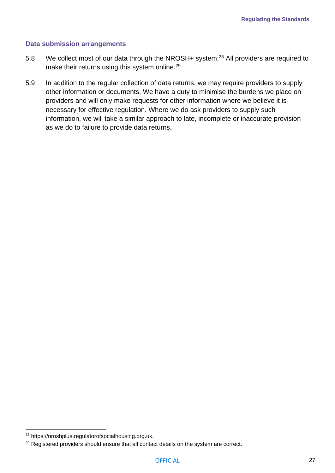#### **Data submission arrangements**

- 5.8 We collect most of our data through the [NROSH+ system.](https://nroshplus.regulatorofsocialhousing.org.uk/)<sup>28</sup> All providers are required to make their returns using this system online.<sup>29</sup>
- 5.9 In addition to the regular collection of data returns, we may require providers to supply other information or documents. We have a duty to minimise the burdens we place on providers and will only make requests for other information where we believe it is necessary for effective regulation. Where we do ask providers to supply such information, we will take a similar approach to late, incomplete or inaccurate provision as we do to failure to provide data returns.

<sup>28</sup> [https://nroshplus.regulatorofsocialhousing.org.uk.](https://nroshplus.regulatorofsocialhousing.org.uk/)

<sup>&</sup>lt;sup>29</sup> Registered providers should ensure that all contact details on the system are correct.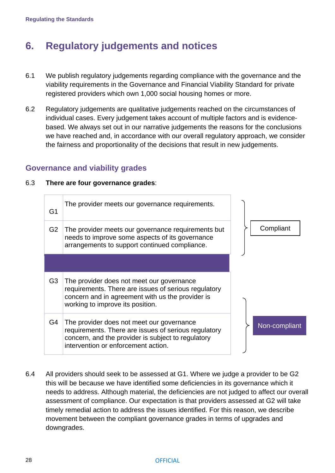# <span id="page-28-0"></span>**6. Regulatory judgements and notices**

- 6.1 We publish regulatory judgements regarding compliance with the governance and the viability requirements in the Governance and Financial Viability Standard for private registered providers which own 1,000 social housing homes or more.
- 6.2 Regulatory judgements are qualitative judgements reached on the circumstances of individual cases. Every judgement takes account of multiple factors and is evidencebased. We always set out in our narrative judgements the reasons for the conclusions we have reached and, in accordance with our overall regulatory approach, we consider the fairness and proportionality of the decisions that result in new judgements.

### <span id="page-28-1"></span>**Governance and viability grades**

#### 6.3 **There are four governance grades**:

| G1             | The provider meets our governance requirements.                                                                                                                                                |               |
|----------------|------------------------------------------------------------------------------------------------------------------------------------------------------------------------------------------------|---------------|
| G <sub>2</sub> | The provider meets our governance requirements but<br>needs to improve some aspects of its governance<br>arrangements to support continued compliance.                                         | Compliant     |
|                |                                                                                                                                                                                                |               |
| G <sub>3</sub> | The provider does not meet our governance<br>requirements. There are issues of serious regulatory<br>concern and in agreement with us the provider is<br>working to improve its position.      |               |
| G4             | The provider does not meet our governance<br>requirements. There are issues of serious regulatory<br>concern, and the provider is subject to regulatory<br>intervention or enforcement action. | Non-compliant |

6.4 All providers should seek to be assessed at G1. Where we judge a provider to be G2 this will be because we have identified some deficiencies in its governance which it needs to address. Although material, the deficiencies are not judged to affect our overall assessment of compliance. Our expectation is that providers assessed at G2 will take timely remedial action to address the issues identified. For this reason, we describe movement between the compliant governance grades in terms of upgrades and downgrades.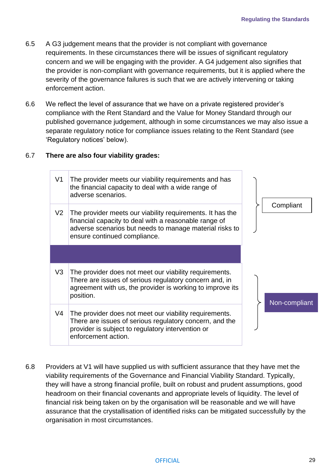- 6.5 A G3 judgement means that the provider is not compliant with governance requirements. In these circumstances there will be issues of significant regulatory concern and we will be engaging with the provider. A G4 judgement also signifies that the provider is non-compliant with governance requirements, but it is applied where the severity of the governance failures is such that we are actively intervening or taking enforcement action.
- 6.6 We reflect the level of assurance that we have on a private registered provider's compliance with the Rent Standard and the Value for Money Standard through our published governance judgement, although in some circumstances we may also issue a separate regulatory notice for compliance issues relating to the Rent Standard (see 'Regulatory notices' below).

#### 6.7 **There are also four viability grades:**

| V <sub>1</sub> | The provider meets our viability requirements and has<br>the financial capacity to deal with a wide range of<br>adverse scenarios.                                                                            |               |  |
|----------------|---------------------------------------------------------------------------------------------------------------------------------------------------------------------------------------------------------------|---------------|--|
| V <sub>2</sub> | The provider meets our viability requirements. It has the<br>financial capacity to deal with a reasonable range of<br>adverse scenarios but needs to manage material risks to<br>ensure continued compliance. | Compliant     |  |
|                |                                                                                                                                                                                                               |               |  |
| V3             | The provider does not meet our viability requirements.<br>There are issues of serious regulatory concern and, in<br>agreement with us, the provider is working to improve its<br>position.                    |               |  |
|                |                                                                                                                                                                                                               |               |  |
| V4             | The provider does not meet our viability requirements.<br>There are issues of serious regulatory concern, and the                                                                                             | Non-compliant |  |

6.8 Providers at V1 will have supplied us with sufficient assurance that they have met the viability requirements of the Governance and Financial Viability Standard. Typically, they will have a strong financial profile, built on robust and prudent assumptions, good headroom on their financial covenants and appropriate levels of liquidity. The level of financial risk being taken on by the organisation will be reasonable and we will have assurance that the crystallisation of identified risks can be mitigated successfully by the organisation in most circumstances.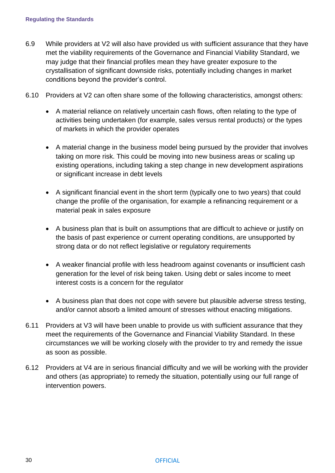- 6.9 While providers at V2 will also have provided us with sufficient assurance that they have met the viability requirements of the Governance and Financial Viability Standard, we may judge that their financial profiles mean they have greater exposure to the crystallisation of significant downside risks, potentially including changes in market conditions beyond the provider's control.
- 6.10 Providers at V2 can often share some of the following characteristics, amongst others:
	- A material reliance on relatively uncertain cash flows, often relating to the type of activities being undertaken (for example, sales versus rental products) or the types of markets in which the provider operates
	- A material change in the business model being pursued by the provider that involves taking on more risk. This could be moving into new business areas or scaling up existing operations, including taking a step change in new development aspirations or significant increase in debt levels
	- A significant financial event in the short term (typically one to two years) that could change the profile of the organisation, for example a refinancing requirement or a material peak in sales exposure
	- A business plan that is built on assumptions that are difficult to achieve or justify on the basis of past experience or current operating conditions, are unsupported by strong data or do not reflect legislative or regulatory requirements
	- A weaker financial profile with less headroom against covenants or insufficient cash generation for the level of risk being taken. Using debt or sales income to meet interest costs is a concern for the regulator
	- A business plan that does not cope with severe but plausible adverse stress testing, and/or cannot absorb a limited amount of stresses without enacting mitigations.
- 6.11 Providers at V3 will have been unable to provide us with sufficient assurance that they meet the requirements of the Governance and Financial Viability Standard. In these circumstances we will be working closely with the provider to try and remedy the issue as soon as possible.
- 6.12 Providers at V4 are in serious financial difficulty and we will be working with the provider and others (as appropriate) to remedy the situation, potentially using our full range of intervention powers.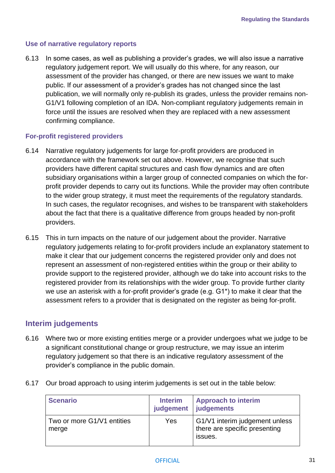#### **Use of narrative regulatory reports**

6.13 In some cases, as well as publishing a provider's grades, we will also issue a narrative regulatory judgement report. We will usually do this where, for any reason, our assessment of the provider has changed, or there are new issues we want to make public. If our assessment of a provider's grades has not changed since the last publication, we will normally only re-publish its grades, unless the provider remains non-G1/V1 following completion of an IDA. Non-compliant regulatory judgements remain in force until the issues are resolved when they are replaced with a new assessment confirming compliance.

#### **For-profit registered providers**

- 6.14 Narrative regulatory judgements for large for-profit providers are produced in accordance with the framework set out above. However, we recognise that such providers have different capital structures and cash flow dynamics and are often subsidiary organisations within a larger group of connected companies on which the forprofit provider depends to carry out its functions. While the provider may often contribute to the wider group strategy, it must meet the requirements of the regulatory standards. In such cases, the regulator recognises, and wishes to be transparent with stakeholders about the fact that there is a qualitative difference from groups headed by non-profit providers.
- 6.15 This in turn impacts on the nature of our judgement about the provider. Narrative regulatory judgements relating to for-profit providers include an explanatory statement to make it clear that our judgement concerns the registered provider only and does not represent an assessment of non-registered entities within the group or their ability to provide support to the registered provider, although we do take into account risks to the registered provider from its relationships with the wider group. To provide further clarity we use an asterisk with a for-profit provider's grade (e.g. G1\*) to make it clear that the assessment refers to a provider that is designated on the register as being for-profit.

### <span id="page-31-0"></span>**Interim judgements**

- 6.16 Where two or more existing entities merge or a provider undergoes what we judge to be a significant constitutional change or group restructure, we may issue an interim regulatory judgement so that there is an indicative regulatory assessment of the provider's compliance in the public domain.
- 6.17 Our broad approach to using interim judgements is set out in the table below:

| <b>Scenario</b>                     | <b>Interim</b><br>judgement | <b>Approach to interim</b><br>  judgements                                 |
|-------------------------------------|-----------------------------|----------------------------------------------------------------------------|
| Two or more G1/V1 entities<br>merge | Yes                         | G1/V1 interim judgement unless<br>there are specific presenting<br>issues. |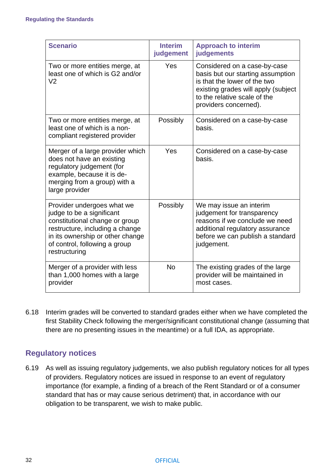| <b>Scenario</b>                                                                                                                                                                                                    | <b>Interim</b><br>judgement | <b>Approach to interim</b><br>judgements                                                                                                                                                          |
|--------------------------------------------------------------------------------------------------------------------------------------------------------------------------------------------------------------------|-----------------------------|---------------------------------------------------------------------------------------------------------------------------------------------------------------------------------------------------|
| Two or more entities merge, at<br>least one of which is G2 and/or<br>V <sub>2</sub>                                                                                                                                | Yes                         | Considered on a case-by-case<br>basis but our starting assumption<br>is that the lower of the two<br>existing grades will apply (subject<br>to the relative scale of the<br>providers concerned). |
| Two or more entities merge, at<br>least one of which is a non-<br>compliant registered provider                                                                                                                    | Possibly                    | Considered on a case-by-case<br>basis.                                                                                                                                                            |
| Merger of a large provider which<br>does not have an existing<br>regulatory judgement (for<br>example, because it is de-<br>merging from a group) with a<br>large provider                                         | Yes                         | Considered on a case-by-case<br>basis.                                                                                                                                                            |
| Provider undergoes what we<br>judge to be a significant<br>constitutional change or group<br>restructure, including a change<br>in its ownership or other change<br>of control, following a group<br>restructuring | Possibly                    | We may issue an interim<br>judgement for transparency<br>reasons if we conclude we need<br>additional regulatory assurance<br>before we can publish a standard<br>judgement.                      |
| Merger of a provider with less<br>than 1,000 homes with a large<br>provider                                                                                                                                        | <b>No</b>                   | The existing grades of the large<br>provider will be maintained in<br>most cases.                                                                                                                 |

6.18 Interim grades will be converted to standard grades either when we have completed the first Stability Check following the merger/significant constitutional change (assuming that there are no presenting issues in the meantime) or a full IDA, as appropriate.

# <span id="page-32-0"></span>**Regulatory notices**

6.19 As well as issuing regulatory judgements, we also publish regulatory notices for all types of providers. Regulatory notices are issued in response to an event of regulatory importance (for example, a finding of a breach of the Rent Standard or of a consumer standard that has or may cause serious detriment) that, in accordance with our obligation to be transparent, we wish to make public.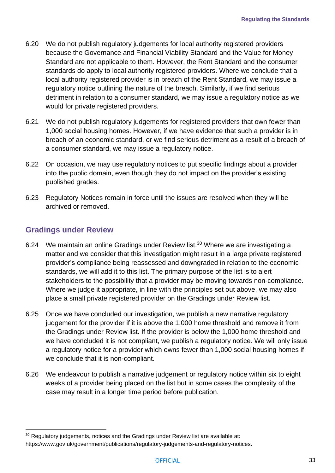- 6.20 We do not publish regulatory judgements for local authority registered providers because the Governance and Financial Viability Standard and the Value for Money Standard are not applicable to them. However, the Rent Standard and the consumer standards do apply to local authority registered providers. Where we conclude that a local authority registered provider is in breach of the Rent Standard, we may issue a regulatory notice outlining the nature of the breach. Similarly, if we find serious detriment in relation to a consumer standard, we may issue a regulatory notice as we would for private registered providers.
- 6.21 We do not publish regulatory judgements for registered providers that own fewer than 1,000 social housing homes. However, if we have evidence that such a provider is in breach of an economic standard, or we find serious detriment as a result of a breach of a consumer standard, we may issue a regulatory notice.
- 6.22 On occasion, we may use regulatory notices to put specific findings about a provider into the public domain, even though they do not impact on the provider's existing published grades.
- 6.23 Regulatory Notices remain in force until the issues are resolved when they will be archived or removed.

### <span id="page-33-0"></span>**Gradings under Review**

- 6.24 We maintain an online Gradings under Review list.<sup>30</sup> Where we are investigating a matter and we consider that this investigation might result in a large private registered provider's compliance being reassessed and downgraded in relation to the economic standards, we will add it to this list. The primary purpose of the list is to alert stakeholders to the possibility that a provider may be moving towards non-compliance. Where we judge it appropriate, in line with the principles set out above, we may also place a small private registered provider on the Gradings under Review list.
- 6.25 Once we have concluded our investigation, we publish a new narrative regulatory judgement for the provider if it is above the 1,000 home threshold and remove it from the Gradings under Review list. If the provider is below the 1,000 home threshold and we have concluded it is not compliant, we publish a regulatory notice. We will only issue a regulatory notice for a provider which owns fewer than 1,000 social housing homes if we conclude that it is non-compliant.
- 6.26 We endeavour to publish a narrative judgement or regulatory notice within six to eight weeks of a provider being placed on the list but in some cases the complexity of the case may result in a longer time period before publication.

<sup>&</sup>lt;sup>30</sup> Regulatory judgements, notices and the Gradings under Review list are available at: [https://www.gov.uk/government/publications/regulatory-judgements-and-regulatory-notices.](https://www.gov.uk/government/publications/regulatory-judgements-and-regulatory-notices)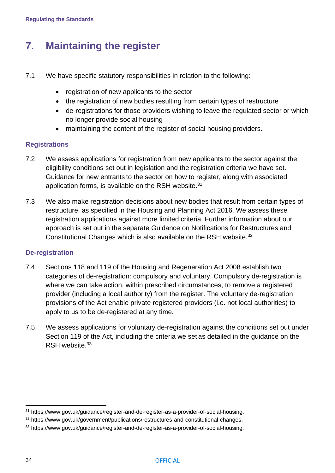# <span id="page-34-0"></span>**7. Maintaining the register**

- 7.1 We have specific statutory responsibilities in relation to the following:
	- registration of new applicants to the sector
	- the registration of new bodies resulting from certain types of restructure
	- de-registrations for those providers wishing to leave the regulated sector or which no longer provide social housing
	- maintaining the content of the register of social housing providers.

#### **Registrations**

- 7.2 We assess applications for registration from new applicants to the sector against the eligibility conditions set out in legislation and the registration criteria we have set. Guidance for new entrants [to the sector on how to register,](https://www.gov.uk/guidance/register-and-de-register-as-a-provider-of-social-housing) along with associated application forms, is available on the RSH website.<sup>31</sup>
- 7.3 We also make registration decisions about new bodies that result from certain types of restructure, as specified in the Housing and Planning Act 2016. We assess these registration applications against more limited criteria. Further information about our approach is set out in the separate [Guidance on Notifications for Restructures and](https://www.gov.uk/government/publications/restructures-and-constitutional-changes)  [Constitutional Changes](https://www.gov.uk/government/publications/restructures-and-constitutional-changes) which is also available on the RSH website.<sup>32</sup>

#### **De-registration**

- 7.4 Sections 118 and 119 of the Housing and Regeneration Act 2008 establish two categories of de-registration: compulsory and voluntary. Compulsory de-registration is where we can take action, within prescribed circumstances, to remove a registered provider (including a local authority) from the register. The voluntary de-registration provisions of the Act enable private registered providers (i.e. not local authorities) to apply to us to be de-registered at any time.
- 7.5 We assess applications for voluntary de-registration against the conditions set out under Section 119 of the Act, including the [criteria we set](https://www.gov.uk/guidance/register-and-de-register-as-a-provider-of-social-housing) as detailed in the guidance on the RSH website 33

<sup>31</sup> [https://www.gov.uk/guidance/register-and-de-register-as-a-provider-of-social-housing.](https://www.gov.uk/guidance/register-and-de-register-as-a-provider-of-social-housing)

<sup>32</sup> [https://www.gov.uk/government/publications/restructures-and-constitutional-changes.](https://www.gov.uk/government/publications/restructures-and-constitutional-changes)

<sup>33</sup> <https://www.gov.uk/guidance/register-and-de-register-as-a-provider-of-social-housing>.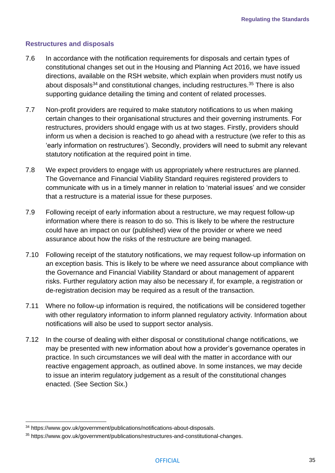#### **Restructures and disposals**

- 7.6 In accordance with the notification requirements for disposals and certain types of constitutional changes set out in the Housing and Planning Act 2016, we have issued directions, available on the RSH website, which explain when providers must notify us about [disposals](https://www.gov.uk/government/publications/notifications-about-disposals)<sup>34</sup> and [constitutional changes, including restructures.](https://www.gov.uk/government/publications/restructures-and-constitutional-changes)<sup>35</sup> There is also supporting guidance detailing the timing and content of related processes.
- 7.7 Non-profit providers are required to make statutory notifications to us when making certain changes to their organisational structures and their governing instruments. For restructures, providers should engage with us at two stages. Firstly, providers should inform us when a decision is reached to go ahead with a restructure (we refer to this as 'early information on restructures'). Secondly, providers will need to submit any relevant statutory notification at the required point in time.
- 7.8 We expect providers to engage with us appropriately where restructures are planned. The Governance and Financial Viability Standard requires registered providers to communicate with us in a timely manner in relation to 'material issues' and we consider that a restructure is a material issue for these purposes.
- 7.9 Following receipt of early information about a restructure, we may request follow-up information where there is reason to do so. This is likely to be where the restructure could have an impact on our (published) view of the provider or where we need assurance about how the risks of the restructure are being managed.
- 7.10 Following receipt of the statutory notifications, we may request follow-up information on an exception basis. This is likely to be where we need assurance about compliance with the Governance and Financial Viability Standard or about management of apparent risks. Further regulatory action may also be necessary if, for example, a registration or de-registration decision may be required as a result of the transaction.
- 7.11 Where no follow-up information is required, the notifications will be considered together with other regulatory information to inform planned regulatory activity. Information about notifications will also be used to support sector analysis.
- 7.12 In the course of dealing with either disposal or constitutional change notifications, we may be presented with new information about how a provider's governance operates in practice. In such circumstances we will deal with the matter in accordance with our reactive engagement approach, as outlined above. In some instances, we may decide to issue an interim regulatory judgement as a result of the constitutional changes enacted. (See [Section](#page-28-0) Six.)

<sup>&</sup>lt;sup>34</sup> [https://www.gov.uk/government/publications/notifications-about-disposals.](https://www.gov.uk/government/publications/notifications-about-disposals)

<sup>35</sup> [https://www.gov.uk/government/publications/restructures-and-constitutional-changes.](https://www.gov.uk/government/publications/restructures-and-constitutional-changes)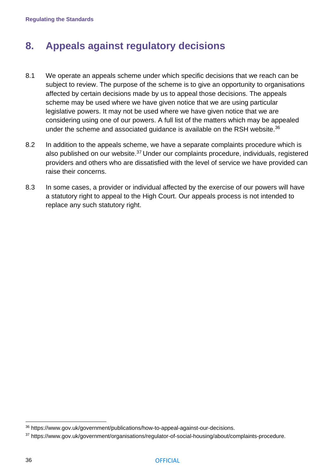**Regulating the Standards**

# <span id="page-36-0"></span>**8. Appeals against regulatory decisions**

- 8.1 We operate an appeals scheme under which specific decisions that we reach can be subject to review. The purpose of the scheme is to give an opportunity to organisations affected by certain decisions made by us to appeal those decisions. The appeals scheme may be used where we have given notice that we are using particular legislative powers. It may not be used where we have given notice that we are considering using one of our powers. A [full list of the matters which may be appealed](https://www.gov.uk/government/publications/how-to-appeal-against-our-decisions)  [under the scheme and associated guidance](https://www.gov.uk/government/publications/how-to-appeal-against-our-decisions) is available on the RSH website.<sup>36</sup>
- 8.2 In addition to the appeals scheme, we have a separate [complaints procedure](https://www.gov.uk/government/organisations/regulator-of-social-housing/about/complaints-procedure) which is also published on our website.<sup>37</sup> Under our complaints procedure, individuals, registered providers and others who are dissatisfied with the level of service we have provided can raise their concerns.
- 8.3 In some cases, a provider or individual affected by the exercise of our powers will have a statutory right to appeal to the High Court. Our appeals process is not intended to replace any such statutory right.

<sup>36</sup> [https://www.gov.uk/government/publications/how-to-appeal-against-our-decisions.](https://www.gov.uk/government/publications/how-to-appeal-against-our-decisions)

<sup>37</sup> [https://www.gov.uk/government/organisations/regulator-of-social-housing/about/complaints-procedure.](https://www.gov.uk/government/organisations/regulator-of-social-housing/about/complaints-procedure)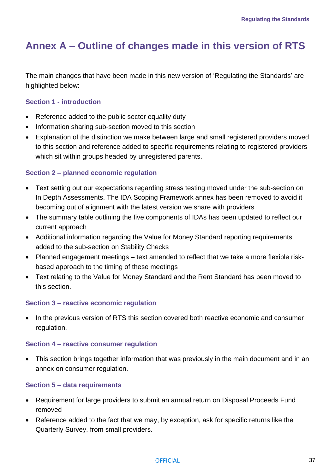# <span id="page-37-0"></span>**Annex A – Outline of changes made in this version of RTS**

The main changes that have been made in this new version of 'Regulating the Standards' are highlighted below:

#### **Section 1 - introduction**

- Reference added to the public sector equality duty
- Information sharing sub-section moved to this section
- Explanation of the distinction we make between large and small registered providers moved to this section and reference added to specific requirements relating to registered providers which sit within groups headed by unregistered parents.

#### **Section 2 – planned economic regulation**

- Text setting out our expectations regarding stress testing moved under the sub-section on In Depth Assessments. The IDA Scoping Framework annex has been removed to avoid it becoming out of alignment with the latest version we share with providers
- The summary table outlining the five components of IDAs has been updated to reflect our current approach
- Additional information regarding the Value for Money Standard reporting requirements added to the sub-section on Stability Checks
- Planned engagement meetings text amended to reflect that we take a more flexible riskbased approach to the timing of these meetings
- Text relating to the Value for Money Standard and the Rent Standard has been moved to this section.

#### **Section 3 – reactive economic regulation**

• In the previous version of RTS this section covered both reactive economic and consumer regulation.

#### **Section 4 – reactive consumer regulation**

• This section brings together information that was previously in the main document and in an annex on consumer regulation.

#### **Section 5 – data requirements**

- Requirement for large providers to submit an annual return on Disposal Proceeds Fund removed
- Reference added to the fact that we may, by exception, ask for specific returns like the Quarterly Survey, from small providers.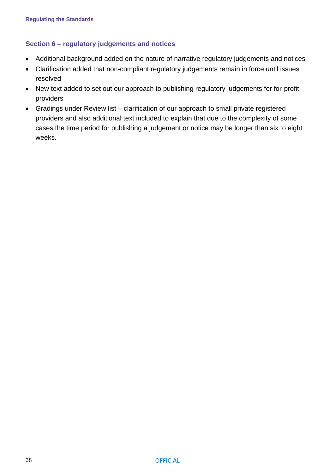#### **Section 6 – regulatory judgements and notices**

- Additional background added on the nature of narrative regulatory judgements and notices
- Clarification added that non-compliant regulatory judgements remain in force until issues resolved
- New text added to set out our approach to publishing regulatory judgements for for-profit providers
- Gradings under Review list clarification of our approach to small private registered providers and also additional text included to explain that due to the complexity of some cases the time period for publishing a judgement or notice may be longer than six to eight weeks.